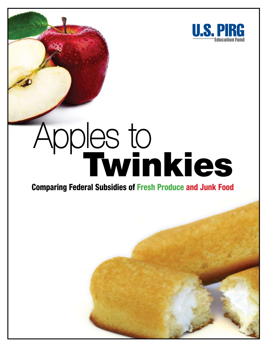

# Apples to **Twinkies**

## **Comparing Federal Subsidies of Fresh Produce and Junk Food**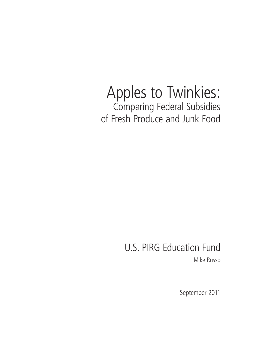# Apples to Twinkies: Comparing Federal Subsidies of Fresh Produce and Junk Food

# U.S. PIRG Education Fund

Mike Russo

September 2011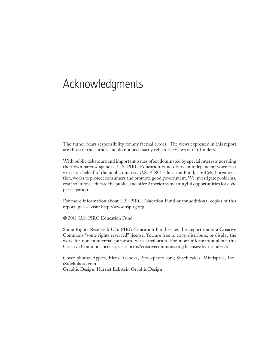# Acknowledgments

The author bears responsibility for any factual errors. The views expressed in this report are those of the author, and do not necessarily reflect the views of our funders.

With public debate around important issues often dominated by special interests pursuing their own narrow agendas, U.S. PIRG Education Fund offers an independent voice that works on behalf of the public interest. U.S. PIRG Education Fund, a  $501(c)(3)$  organization, works to protect consumers and promote good government. We investigate problems, craft solutions, educate the public, and offer Americans meaningful opportunities for civic participation.

For more information about U.S. PIRG Education Fund or for additional copies of this report, please visit: http://www.uspirg.org.

© 2011 U.S. PIRG Education Fund.

Some Rights Reserved: U.S. PIRG Education Fund issues this report under a Creative Commons "some rights reserved" license. You are free to copy, distribute, or display the work for noncommercial purposes, with attribution. For more information about this Creative Commons license, visit: http://creativecommons.org/licenses/by-nc-nd/2.5/

Cover photos: Apples, Elena Asenova, iStockphoto.com; Snack cakes, Mindspace, Inc., iStockphoto.com Graphic Design: Harriet Eckstein Graphic Design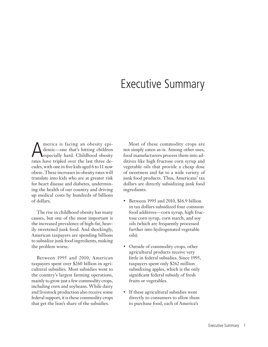# Executive Summary

America is facing an obesity epi-<br>demic—one that's hitting children<br>especially hard. Childhood obesity demic—one that's hitting children rates have tripled over the last three decades, with one in five kids aged 6 to 11 now obese. These increases in obesity rates will translate into kids who are at greater risk for heart disease and diabetes, undermining the health of our country and driving up medical costs by hundreds of billions of dollars.

The rise in childhood obesity has many causes, but one of the most important is the increased prevalence of high-fat, heavily sweetened junk food. And shockingly, American taxpayers are spending billions to subsidize junk food ingredients, making the problem worse.

Between 1995 and 2010, American taxpayers spent over \$260 billion in agricultural subsidies. Most subsidies went to the country's largest farming operations, mainly to grow just a few commodity crops, including corn and soybeans. While dairy and livestock production also receive some federal support, it is these commodity crops that get the lion's share of the subsidies.

Most of these commodity crops are not simply eaten as-is. Among other uses, food manufacturers process them into additives like high fructose corn syrup and vegetable oils that provide a cheap dose of sweetness and fat to a wide variety of junk food products. Thus, Americans' tax dollars are directly subsidizing junk food ingredients.

- Between 1995 and 2010, \$16.9 billion in tax dollars subsidized four common food additives—corn syrup, high fructose corn syrup, corn starch, and soy oils (which are frequently processed further into hydrogenated vegetable oils).
- Outside of commodity crops, other agricultural products receive very little in federal subsidies. Since 1995, taxpayers spent only \$262 million subsidizing apples, which is the only significant federal subsidy of fresh fruits or vegetables.
- If these agricultural subsidies went directly to consumers to allow them to purchase food, each of America's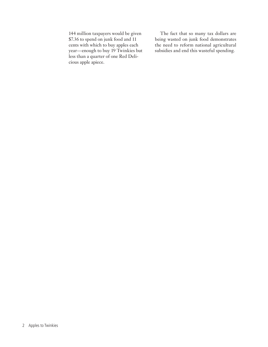144 million taxpayers would be given \$7.36 to spend on junk food and 11 cents with which to buy apples each year—enough to buy 19 Twinkies but less than a quarter of one Red Delicious apple apiece.

The fact that so many tax dollars are being wasted on junk food demonstrates the need to reform national agricultural subsidies and end this wasteful spending.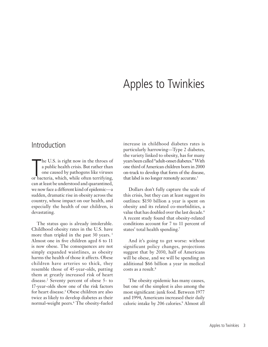# Apples to Twinkies

### Introduction

The U.S. is right now in the throes of<br>a public health crisis. But rather than<br>one caused by pathogens like viruses<br>or bacteria, which, while often terrifying, he U.S. is right now in the throes of a public health crisis. But rather than one caused by pathogens like viruses can at least be understood and quarantined, we now face a different kind of epidemic—a sudden, dramatic rise in obesity across the country, whose impact on our health, and especially the health of our children, is devastating.

The status quo is already intolerable. Childhood obesity rates in the U.S. have more than tripled in the past 30 years.<sup>1</sup> Almost one in five children aged 6 to 11 is now obese. The consequences are not simply expanded waistlines, as obesity harms the health of those it affects. Obese children have arteries so thick, they resemble those of 45-year-olds, putting them at greatly increased risk of heart disease.2 Seventy percent of obese 5- to 17-year-olds show one of the risk factors for heart disease.3 Obese children are also twice as likely to develop diabetes as their normal-weight peers.4 The obesity-fueled increase in childhood diabetes rates is particularly harrowing—Type 2 diabetes, the variety linked to obesity, has for many years been called "adult-onset diabetes." With one third of American children born in 2000 on-track to develop that form of the disease, that label is no longer remotely accurate.<sup>5</sup>

Dollars don't fully capture the scale of this crisis, but they can at least suggest its outlines: \$150 billion a year is spent on obesity and its related co-morbidities, a value that has doubled over the last decade.<sup>6</sup> A recent study found that obesity-related conditions account for 7 to 11 percent of states' total health spending.7

And it's going to get worse: without significant policy changes, projections suggest that by 2030, half of Americans will be obese, and we will be spending an additional \$66 billion a year in medical costs as a result.8

The obesity epidemic has many causes, but one of the simplest is also among the most significant: junk food. Between 1977 and 1994, Americans increased their daily caloric intake by 206 calories.9 Almost all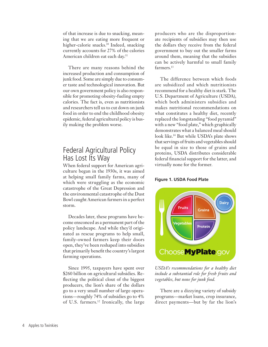of that increase is due to snacking, meaning that we are eating more frequent or higher-calorie snacks.<sup>10</sup> Indeed, snacking currently accounts for 27% of the calories American children eat each day.<sup>11</sup>

There are many reasons behind the increased production and consumption of junk food. Some are simply due to consumer taste and technological innovation. But our own government policy is also responsible for promoting obesity-fueling empty calories. The fact is, even as nutritionists and researchers tell us to cut down on junk food in order to end the childhood obesity epidemic, federal agricultural policy is busily making the problem worse.

## Federal Agricultural Policy Has Lost Its Way

When federal support for American agriculture began in the 1930s, it was aimed at helping small family farms, many of which were struggling as the economic catastrophe of the Great Depression and the environmental catastrophe of the Dust Bowl caught American farmers in a perfect storm.

Decades later, these programs have become ensconced as a permanent part of the policy landscape. And while they'd originated as rescue programs to help small, family-owned farmers keep their doors open, they've been reshaped into subsidies that primarily benefit the country's largest farming operations.

Since 1995, taxpayers have spent over \$260 billion on agricultural subsidies. Reflecting the political clout of the biggest producers, the lion's share of the dollars go to a very small number of large operations—roughly 74% of subsidies go to 4% of U.S. farmers.12 Ironically, the large producers who are the disproportionate recipients of subsidies may then use the dollars they receive from the federal government to buy out the smaller farms around them, meaning that the subsidies can be actively harmful to small family farmers.<sup>13</sup>

The difference between which foods are subsidized and which nutritionists recommend for a healthy diet is stark. The U.S. Department of Agriculture (USDA), which both administers subsidies and makes nutritional recommendations on what constitutes a healthy diet, recently replaced the longstanding "food pyramid" with a new "food plate," which graphically demonstrates what a balanced meal should look like.14 But while USDA's plate shows that servings of fruits and vegetables should be equal in size to those of grains and proteins, USDA distributes considerable federal financial support for the latter, and virtually none for the former.

#### **Figure 1. USDA Food Plate**



*USDA's recommendations for a healthy diet include a substantial role for fresh fruits and vegetables, but none for junk food.* 

There are a dizzying variety of subsidy programs—market loans, crop insurance, direct payments—but by far the lion's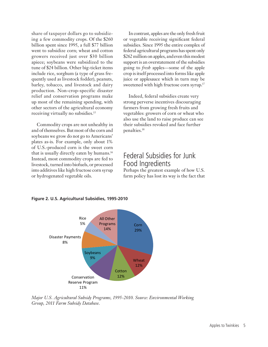share of taxpayer dollars go to subsidizing a few commodity crops. Of the \$260 billion spent since 1995, a full \$77 billion went to subsidize corn; wheat and cotton growers received just over \$30 billion apiece; soybeans were subsidized to the tune of \$24 billion. Other big-ticket items include rice, sorghum (a type of grass frequently used as livestock fodder), peanuts, barley, tobacco, and livestock and dairy production. Non-crop-specific disaster relief and conservation programs make up most of the remaining spending, with other sectors of the agricultural economy receiving virtually no subsidies.<sup>15</sup>

Commodity crops are not unhealthy in and of themselves. But most of the corn and soybeans we grow do not go to Americans' plates as-is. For example, only about 1% of U.S.-produced corn is the sweet corn that is usually directly eaten by humans.16 Instead, most commodity crops are fed to livestock, turned into biofuels, or processed into additives like high fructose corn syrup or hydrogenated vegetable oils.

In contrast, apples are the only fresh fruit or vegetable receiving significant federal subsidies. Since 1995 the entire complex of federal agricultural programs has spent only \$262 million on apples, and even this modest support is an overstatement of the subsidies going to *fresh* apples—some of the apple crop is itself processed into forms like apple juice or applesauce which in turn may be sweetened with high fructose corn syrup.<sup>17</sup>

Indeed, federal subsidies create very strong perverse incentives discouraging farmers from growing fresh fruits and vegetables: growers of corn or wheat who also use the land to raise produce can see their subsidies revoked and face further penalties.18

## Federal Subsidies for Junk Food Ingredients

Perhaps the greatest example of how U.S. farm policy has lost its way is the fact that





*Major U.S. Agricultural Subsidy Programs, 1995-2010. Source: Environmental Working Group, 2011 Farm Subsidy Database*.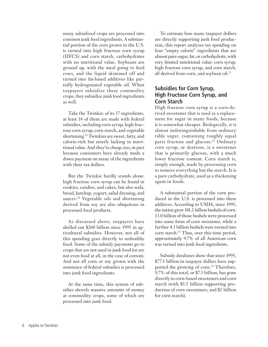many subsidized crops are processed into common junk food ingredients. A substantial portion of the corn grown in the U.S. is turned into high fructose corn syrup (HFCS) and corn starch, carbohydrates with no nutritional value. Soybeans are ground up, with the meal going to feed cows, and the liquid skimmed off and turned into fat-based additives like partially hydrogenated vegetable oil. When taxpayers subsidize these commodity crops, they subsidize junk food ingredients as well.

Take the Twinkie: of its 37 ingredients, at least 14 of them are made with federal subsidies, including corn syrup, high fructose corn syrup, corn starch, and vegetable shortening.19 Twinkies are sweet, fatty, and calorie-rich but utterly lacking in nutritional value. And they're cheap, too, in part because consumers have already made a down payment on many of the ingredients with their tax dollars.

But the Twinkie hardly stands alone: high fructose corn syrup can be found in cookies, candies, and cakes, but also soda, bread, ketchup, yogurt, salad dressing, and sauces.<sup>20</sup> Vegetable oils and shortening derived from soy are also ubiquitous in processed food products.

As discussed above, taxpayers have shelled out \$260 billion since 1995 in agricultural subsidies. However, not all of this spending goes directly to unhealthy food. Some of the subsidy payments go to crops that are not used in junk food (or are not even food at all, in the case of cotton). And not all corn or soy grown with the assistance of federal subsidies is processed into junk food ingredients.

At the same time, this system of subsidies shovels massive amounts of money at commodity crops, some of which are processed into junk food.

To estimate how many taxpayer dollars are directly supporting junk food production, this report analyzes tax spending on four "empty calorie" ingredients that are almost pure sugar, fat, or carbohydrate, with very limited nutritional value: corn syrup, high fructose corn syrup, and corn starch, all derived from corn, and soybean oil.<sup>21</sup>

#### **Subsidies for Corn Syrup, High Fructose Corn Syrup, and Corn Starch**

High fructose corn syrup is a corn-derived sweetener that is used as a replacement for sugar in many foods, because it is somewhat cheaper. Biologically, it is almost indistinguishable from ordinary table sugar, containing roughly equal parts fructose and glucose.<sup>22</sup> Ordinary corn syrup, or dextrose, is a sweetener that is primarily glucose, with a much lower fructose content. Corn starch is, simply enough, made by processing corn to remove everything but the starch. It is a pure carbohydrate, used as a thickening agent in foods.

A substantial portion of the corn produced in the U.S. is processed into these additives. According to USDA, since 1995, the nation grew 181.1 billion bushels of corn. 13.0 billion of those bushels were processed into some form of corn sweetener, while a further 4.3 billion bushels were turned into corn starch.<sup>23</sup> Thus, over this time period, approximately 9.7% of all American corn was turned into junk food ingredients.

Subsidy databases show that since 1995, \$77.1 billion in taxpayer dollars have supported the growing of corn.<sup>24</sup> Therefore, 9.7% of this total, or \$7.5 billion, has gone directly to corn-based sweeteners and corn starch (with \$5.5 billion supporting production of corn sweeteners, and \$2 billion for corn starch).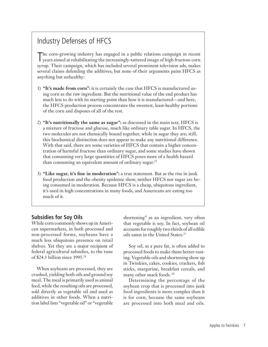## Industry Defenses of HFCS

T he corn-growing industry has engaged in a public relations campaign in recent years aimed at rehabilitating the increasingly-tattered image of high fructose corn syrup. Their campaign, which has included several prominent television ads, makes several claims defending the additives, but none of their arguments paint HFCS as anything but unhealthy:

- 1) **"It's made from corn":** it is certainly the case that HFCS is manufactured using corn as the raw ingredient. But the nutritional value of the end product has much less to do with its starting point than how it is manufactured—and here, the HFCS production process concentrates the sweetest, least-healthy portions of the corn and disposes of all of the rest.
- 2) **"It's nutritionally the same as sugar":** as discussed in the main text, HFCS is a mixture of fructose and glucose, much like ordinary table sugar. In HFCS, the two molecules are not chemically bound together, while in sugar they are; still, this biochemical distinction does not appear to make any nutritional difference. With that said, there are some varieties of HFCS that contain a higher concentration of harmful fructose than ordinary sugar, and some studies have shown that consuming very large quantities of HFCS poses more of a health hazard than consuming an equivalent amount of ordinary sugar.<sup>25</sup>
- 3) **"Like sugar, it's fine in moderation":** a true statement. But as the rise in junk food production and the obesity epidemic show, neither HFCS nor sugar are being consumed in moderation. Because HFCS is a cheap, ubiquitous ingredient, it's used in high concentrations in many foods, and Americans are eating too much of it.

#### **Subsidies for Soy Oils**

While corn commonly shows up in American supermarkets, in both processed and non-processed forms, soybeans have a much less ubiquitous presence on retail shelves. Yet they are a major recipient of federal agricultural subsidies, to the tune of \$24.3 billion since 1995.26

When soybeans are processed, they are crushed, yielding both oils and ground soy meal. The meal is primarily used as animal feed, while the resulting oils are processed, sold directly as vegetable oil and used as additives in other foods. When a nutrition label lists "vegetable oil" or "vegetable

shortening" as an ingredient, very often that vegetable is soy. In fact, soybean oil accounts for roughly two thirds of all edible oils eaten in the United States.<sup>27</sup>

Soy oil, as a pure fat, is often added to processed foods to make them better-tasting. Vegetable oils and shortening show up in Twinkies, cakes, cookies, crackers, fish sticks, margarine, breakfast cereals, and many other snack foods. <sup>28</sup>

Determining the percentage of the soybean crop that is processed into junk food ingredients is more complex than it is for corn, because the same soybeans are processed into both meal and oils.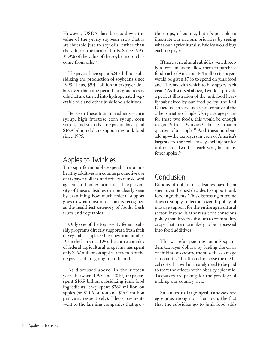However, USDA data breaks down the value of the yearly soybean crop that is attributable just to soy oils, rather than the value of the meal or hulls. Since 1995, 38.9% of the value of the soybean crop has come from oils.29

Taxpayers have spent \$24.3 billion subsidizing the production of soybeans since 1995. Thus, \$9.44 billion in taxpayer dollars over that time period has gone to soy oils that are turned into hydrogenated vegetable oils and other junk food additives.

Between these four ingredients—corn syrup, high fructose corn syrup, corn starch, and soy oils—taxpayers have paid \$16.9 billion dollars supporting junk food since 1995.

## Apples to Twinkies

This significant public expenditure on unhealthy additives is a counterproductive use of taxpayer dollars, and reflects our skewed agricultural policy priorities. The perversity of these subsidies can be clearly seen by examining how much federal support goes to what most nutritionists recognize as the healthiest category of foods: fresh fruits and vegetables.

Only one of the top twenty federal subsidy programs directly supports a fresh fruit or vegetable: apples.30 It comes in at number 19 on the list: since 1995 the entire complex of federal agricultural programs has spent only \$262 million on apples, a fraction of the taxpayer dollars going to junk food.

As discussed above, in the sixteen years between 1995 and 2010, taxpayers spent \$16.9 billion subsidizing junk food ingredients; they spent \$262 million on apples (or \$1.06 billion and \$16.4 million per year, respectively). These payments went to the farming companies that grew

the crops, of course, but it's possible to illustrate our nation's priorities by seeing what our agricultural subsidies would buy each taxpayer.

If these agricultural subsidies went directly to consumers to allow them to purchase food, each of America's 144 million taxpayers would be given \$7.36 to spend on junk food and 11 cents with which to buy apples each year.31 As discussed above, Twinkies provide a perfect illustration of the junk food heavily subsidized by our food policy; the Red Delicious can serve as a representative of the other varieties of apple. Using average prices for these two foods, this would be enough to get 19 free Twinkies $32$ —but less than a quarter of an apple.33 And these numbers add up—the taxpayers in each of America's largest cities are collectively shelling out for millions of Twinkies each year, but many fewer apples.34

## Conclusion

Billions of dollars in subsidies have been spent over the past decades to support junk food ingredients. This distressing outcome doesn't simply reflect an overall policy of massive support for the entire agricultural sector; instead, it's the result of a conscious policy that directs subsidies to commodity crops that are more likely to be processed into food additives.

This wasteful spending not only squanders taxpayer dollars: by fueling the crisis of childhood obesity, the subsidies damage our country's health and increase the medical costs that will ultimately need to be paid to treat the effects of the obesity epidemic. Taxpayers are paying for the privilege of making our country sick.

Subsidies to large agribusinesses are egregious enough on their own; the fact that the subsidies go to junk food adds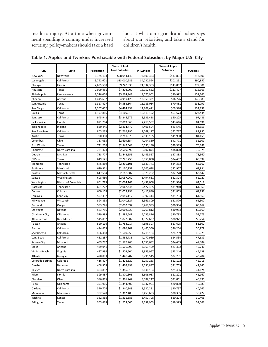insult to injury. At a time when government spending is coming under increased scrutiny, policy-makers should take a hard

look at what our agricultural policy says about our priorities, and take a stand for children's health.

| City             | State                | Population | <b>Share of Junk</b><br><b>Food Subsidies</b> | #Twinkies  | <b>Share of Apple</b><br><b>Subsidies</b> | # Apples |
|------------------|----------------------|------------|-----------------------------------------------|------------|-------------------------------------------|----------|
| New York         | New York             | 8,175,133  | \$28,044,146                                  | 73,800,383 | \$433,891                                 | 842,506  |
| Los Angeles      | California           | 3,792,621  | \$13,010,286                                  | 34,237,594 | \$201,291                                 | 390,857  |
| Chicago          | Illinois             | 2,695,598  | \$9,247,035                                   | 24,334,303 | \$143,067                                 | 277,801  |
| Houston          | Texas                | 2,099,451  | \$7,202,000                                   | 18,952,632 | \$111,427                                 | 216,363  |
| Philadelphia     | Pennsylvania         | 1,526,006  | \$5,234,843                                   | 13,775,902 | \$80,992                                  | 157,266  |
| Phoenix          | Arizona              | 1,445,632  | \$4,959,126                                   | 13,050,331 | \$76,726                                  | 148,983  |
| San Antonio      | Texas                | 1,327,407  | \$4,553,564                                   | 11,983,064 | \$70,451                                  | 136,799  |
| San Diego        | California           | 1,307,402  | \$4,484,939                                   | 11,802,471 | \$69,390                                  | 134,737  |
| Dallas           | Texas                | 1,197,816  | \$4,109,013                                   | 10,813,192 | \$63,573                                  | 123,444  |
| San Jose         | California           | 945,942    | \$3,244,979                                   | 8,539,418  | \$50,205                                  | 97,486   |
| Jacksonville     | Florida              | 821,784    | \$2,819,065                                   | 7,418,592  | \$43,616                                  | 84,691   |
| Indianapolis     | Indiana              | 820,445    | \$2,814,472                                   | 7,406,504  | \$43,545                                  | 84,553   |
| San Francisco    | California           | 805,235    | \$2,762,295                                   | 7,269,197  | \$42,737                                  | 82,985   |
| Austin           | Texas                | 790,390    | \$2,711,370                                   | 7,135,185  | \$41,950                                  | 81,455   |
| Columbus         | Ohio                 | 787,033    | \$2,699,854                                   | 7,104,880  | \$41,771                                  | 81,109   |
| Fort Worth       | Texas                | 741,206    | \$2,542,648                                   | 6,691,180  | \$39,339                                  | 76,387   |
| Charlotte        | North Carolina       | 731,424    | \$2,509,092                                   | 6,602,874  | \$38,820                                  | 75,378   |
| Detroit          | Michigan             | 713,777    | \$2,448,555                                   | 6,443,567  | \$37,883                                  | 73,560   |
| El Paso          | Texas                | 649,121    | \$2,226,758                                   | 5,859,890  | \$34,452                                  | 66.897   |
| Memphis          | Tennessee            | 646,889    | \$2,219,101                                   | 5,839,741  | \$34,333                                  | 66,667   |
| Baltimore        | Maryland             | 620.961    | \$2,130,157                                   | 5,605,678  | \$32,957                                  | 63,994   |
| Boston           | Massachusetts        | 617,594    | \$2,118,607                                   | 5,575,282  | \$32,778                                  | 63,647   |
| Seattle          | Washington           | 608,660    | \$2,087,960                                   | 5,494,631  | \$32,304                                  | 62,727   |
| Washington       | District of Columbia | 601,723    | \$2,064,163                                   | 5,432,008  | \$31,936                                  | 62,012   |
| Nashville        | Tennessee            | 601,222    | \$2,062,444                                   | 5,427,485  | \$31,910                                  | 61,960   |
| Denver           | Colorado             | 600,158    | \$2,058,794                                   | 5,417,880  | \$31,853                                  | 61,851   |
| Louisville       | Kentucky             | 597,337    | \$2,049,117                                   | 5,392,414  | \$31,703                                  | 61,560   |
| Milwaukee        | Wisconsin            | 594,833    | \$2,040,527                                   | 5,369,809  | \$31,570                                  | 61,302   |
| Portland         | Oregon               | 583,776    | \$2,002,597                                   | 5,269,993  | \$30,984                                  | 60,162   |
| Las Vegas        | Nevada               | 583,756    | \$2,002,529                                   | 5,269,812  | \$30,983                                  | 60,160   |
| Oklahoma City    | Oklahoma             | 579,999    | \$1,989,641                                   | 5,235,896  | \$30,783                                  | 59,773   |
| Albuquerque      | New Mexico           | 545,852    | \$1,872,502                                   | 4,927,637  | \$28,971                                  | 56,254   |
| Tucson           | Arizona              | 520,116    | \$1,784,217                                   | 4,695,307  | \$27,605                                  | 53,602   |
| Fresno           | California           | 494,665    | \$1,696,909                                   | 4,465,550  | \$26,254                                  | 50,979   |
| Sacramento       | California           | 466,488    | \$1,600,250                                   | 4,211,184  | \$24,759                                  | 48,075   |
| Long Beach       | California           | 462,257    | \$1,585,736                                   | 4,172,989  | \$24,534                                  | 47,639   |
| Kansas City      | Missouri             | 459,787    | \$1,577,263                                   | 4,150,692  | \$24,403                                  | 47,384   |
| Mesa             | Arizona              | 439,041    | \$1,506,095                                   | 3,963,409  | \$23,302                                  | 45,246   |
| Virginia Beach   | Virginia             | 437,994    | \$1,502,504                                   | 3,953,957  | \$23,246                                  | 45,138   |
| Atlanta          | Georgia              | 420,003    | \$1,440,787                                   | 3,791,545  | \$22,291                                  | 43,284   |
| Colorado Springs | Colorado             | 416,427    | \$1,428,520                                   | 3,759,263  | \$22,102                                  | 42,916   |
| Omaha            | Nebraska             | 408,958    | \$1,402,898                                   | 3,691,837  | \$21,705                                  | 42,146   |
| Raleigh          | North Carolina       | 403,892    | \$1,385,519                                   | 3,646,104  | \$21,436                                  | 41,624   |
| Miami            | Florida              | 399,457    | \$1,370,306                                   | 3,606,067  | \$21,201                                  | 41,167   |
| Cleveland        | Ohio                 | 396,815    | \$1,361,242                                   | 3,582,217  | \$21,061                                  | 40,895   |
| Tulsa            | Oklahoma             | 391,906    | \$1,344,402                                   | 3,537,901  | \$20,800                                  | 40,389   |
| Oakland          | California           | 390,724    | \$1,340,348                                   | 3,527,231  | \$20,737                                  | 40,267   |
| Minneapolis      | Minnesota            | 382,578    | \$1,312,403                                   | 3,453,693  | \$20,305                                  | 39,427   |
| Wichita          | Kansas               | 382,368    | \$1,311,683                                   | 3,451,798  | \$20,294                                  | 39,406   |
| Arlington        | Texas                | 365,438    | \$1,253,606                                   | 3,298,963  | \$19,395                                  | 37,661   |

**Table 1. Apples and Twinkies Purchasable with Federal Subsidies, by Major U.S. City**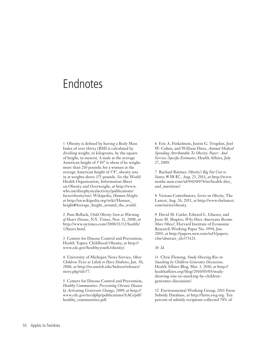# Endnotes

1 Obesity is defined by having a Body Mass Index of over thirty (BMI is calculated by dividing weight, in kilograms, by the square of height, in meters). A male at the average American height of 5'10" is obese if he weighs more than 210 pounds; for a woman at the average American height of 5'4", obesity sets in at weights above 175 pounds. *See* the World Health Organization, Information Sheet on Obesity and Overweight, *at* http://www. who.int/dietphysicalactivity/publications/ facts/obesity/en/; Wikipedia, *Human Height*, *at* http://en.wikipedia.org/wiki/Human\_ height#Average\_height\_around\_the\_world.

2 Pam Belluck, *Child Obesity Seen as Warning of Heart Disease*, N.Y. Times, Nov. 11, 2008, *at* http://www.nytimes.com/2008/11/12/health/ 12heart.html.

3 Centers for Disease Control and Prevention, Health Topics: Childhood Obesity, *at* http:// www.cdc.gov/healthyyouth/obesity/.

4 University of Michigan News Service, *Obese Children Twice as Likely to Have Diabetes*, Jan. 30, 2006, *at* http://ns.umich.edu/htdocs/releases/ story.php?id=77.

5 Centers for Disease Control and Prevention, *Healthy Communities: Preventing Chronic Disease by Activating Grassroots Change*, 2009, *at* http:// www.cdc.gov/nccdphp/publications/AAG/pdf/ healthy\_communities.pdf.

6 Eric A. Finkelstein, Justin G. Trogdon, Joel W. Cohen, and William Dietz, *Annual Medical Spending Attributable To Obesity: Payer- And Service-Specific Estimates*, Health Affairs, July 27, 2009.

7 Rachael Rattner, *Obesity's Big Fat Cost to States*, MSNBC, Aug. 23, 2011, *at* http://www. msnbc.msn.com/id/44241074/ns/health-diet\_ and\_nutrition/.

8 Various Contributors, *Series on Obesity*, The Lancet, Aug. 26, 2011, *at* http://www.thelancet. com/series/obesity.

9 David M. Cutler, Edward L. Glaeser, and Jesse M. Shapiro, *Why Have Americans Become More Obese?*, Harvard Institute of Economic Research Working Paper No. 1994, Jan. 2003, *at* http://papers.ssrn.com/sol3/papers. cfm?abstract\_id=373121.

#### 10 *Id.*

11 Chris Fleming, *Study Showing Rise in Snacking by Children Generates Discussion*, Health Affairs Blog, Mar. 3, 2010, *at* http:// healthaffairs.org/blog/2010/03/03/studyshowing-rise-in-snacking-by-childrengenerates-discussion/.

12 Environmental Working Group, 2011 Farm Subsidy Database, *at* http://farm.ewg.org. Ten percent of subsidy recipients collected 74% of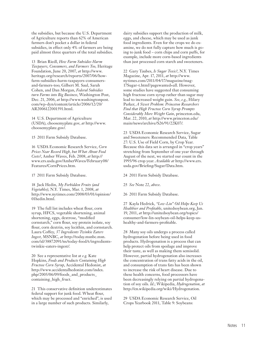the subsidies, but because the U.S. Department of Agriculture reports than 62% of American farmers don't pocket a dollar in federal subsidies, in effect only 4% of farmers are being paid almost three quarters of the total subsidies.

13 Brian Riedl, *How Farm Subsidies Harm Taxpayers, Consumers, and Farmers Too,* Heritage Foundation, June 20, 2007, *at* http://www. heritage.org/research/reports/2007/06/howfarm-subsidies-harm-taxpayers-consumersand-farmers-too; Gilbert M. Saul, Sarah Cohen, and Dan Morgan, *Federal Subsidies turn Farms into Big Business*, Washington Post, Dec. 21, 2006, *at* http://www.washingtonpost. com/wp-dyn/content/article/2006/12/20/ AR2006122001591.html.

14 U.S. Department of Agriculture (USDA), choosemyplate.gov, *at* http://www. choosemyplate.gov/.

15 2011 Farm Subsidy Database.

16 USDA Economic Research Service, *Corn Prices Near Record High, but What About Food Costs?*, Amber Waves, Feb. 2008, *at* http:// www.ers.usda.gov/AmberWaves/February08/ Features/CornPrices.htm.

17 2011 Farm Subsidy Database.

18 Jack Hedin, *My Forbidden Fruits (and Vegetables)*, N.Y. Times, Mar. 1, 2008, *at*  http://www.nytimes.com/2008/03/01/opinion/ 01hedin.html.

19 The full list includes wheat flour, corn syrup, HFCS, vegetable shortening, animal shortening, eggs, dextrose, "modified cornstarch," corn flour, soy protein isolate, soy flour, corn dextrin, soy lecithin, and cornstarch. Laura Coffey, *37 Ingredients Twinkie Eaters Ingest*, MSNBC, *at* http://today.msnbc.msn. com/id/38872091/ns/today-food/t/ingredientstwinkie-eaters-ingest/.

20 See a representative list at *e.g.* Kate Hopkins, *Foods and Products Containing High Fructose Corn Syrup*, Accidental Hedonist, *at*  http://www.accidentalhedonist.com/index. php/2005/06/09/foods\_and\_products\_ containing\_high\_fruct.

21 This conservative definition underestimates federal support for junk food. Wheat flour, which may be processed and "enriched", is used in a large number of such products. Similarly,

dairy subsidies support the production of milk, eggs, and cheese, which may be used as junk food ingredients. Even for the crops we do examine, we do not fully capture how much is going to junk food – corn chips and corn puffs, for example, include more corn-based ingredients than just processed corn starch and sweeteners.

22 Gary Taubes, *Is Sugar Toxic?*, N.Y. Times Magazine, Apr. 17, 2011, *at* http://www. nytimes.com/2011/04/17/magazine/mag-17Sugar-t.html?pagewanted=all. However, some studies have suggested that consuming high fructose corn syrup rather than sugar may lead to increased weight gain. *See*, *e.g.*, Hilary Parker, *A Sweet Problem: Princeton Researchers Find that High Fructose Corn Syrup Prompts Considerably More Weight Gain*, princeton.edu, Mar. 22, 2010, *at* http://www.princeton.edu/ main/news/archive/S26/91/22K07/.

23 USDA Economic Research Service, Sugar and Sweeteners: Recommended Data, Table 27: U.S. Use of Field Corn, by Crop Year. Because this data set is arranged in "crop years" stretching from September of one year through August of the next, we started our count in the 1995/96 crop year. *Available at* http://www.ers. usda.gov/Briefing/Sugar/Data.htm.

24 2011 Farm Subsidy Database.

25 *See* Note 22, *above*.

26 2011 Farm Subsidy Database.

27 Kayla Hedrick, *"Low-Lin" Oil Helps Keep Us Healthier and Profitable*, unitedsoybean.org, Jan. 19, 2011, *at* http://unitedsoybean.org/topics/ consumer/low-lin-soybean-oil-helps-keep-ushealthy-and-farmers-profitable.

28 Many soy oils undergo a process called hydrogenation before being used in food products. Hydrogenation is a process that can help protect oils from spoilage and improve their taste, as well as making them semisolid. However, partial hydrogenation also increases the concentration of trans fatty acids in the oil, and consumption of trans fats has been shown to increase the risk of heart disease. Due to these health concerns, food processors have been decreasingly relying on partial hydrogenation of soy oils. *Id.*; Wikipedia, *Hydrogenation*, *at* http://en.wikipedia.org/wiki/Hydrogenation.

29 USDA Economic Research Service, Oil Crops Yearbook 2011, Table 9: Soybeans: